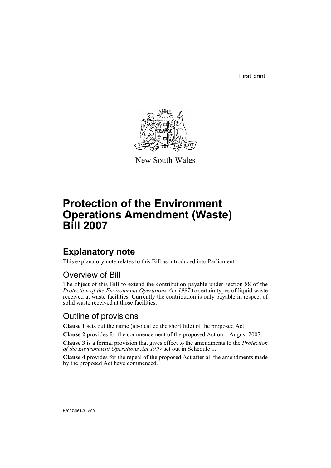First print



New South Wales

# **Protection of the Environment Operations Amendment (Waste) Bill 2007**

## **Explanatory note**

This explanatory note relates to this Bill as introduced into Parliament.

### Overview of Bill

The object of this Bill to extend the contribution payable under section 88 of the *Protection of the Environment Operations Act 1997* to certain types of liquid waste received at waste facilities. Currently the contribution is only payable in respect of solid waste received at those facilities.

#### Outline of provisions

**Clause 1** sets out the name (also called the short title) of the proposed Act.

**Clause 2** provides for the commencement of the proposed Act on 1 August 2007.

**Clause 3** is a formal provision that gives effect to the amendments to the *Protection of the Environment Operations Act 1997* set out in Schedule 1.

**Clause 4** provides for the repeal of the proposed Act after all the amendments made by the proposed Act have commenced.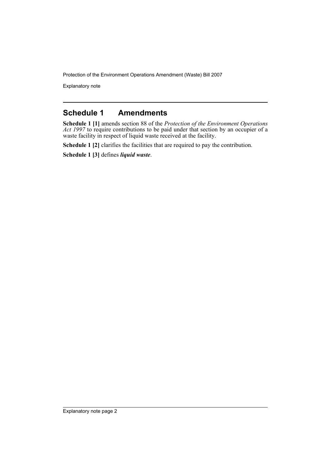Protection of the Environment Operations Amendment (Waste) Bill 2007

Explanatory note

#### **Schedule 1 Amendments**

**Schedule 1 [1]** amends section 88 of the *Protection of the Environment Operations Act 1997* to require contributions to be paid under that section by an occupier of a waste facility in respect of liquid waste received at the facility.

**Schedule 1 [2]** clarifies the facilities that are required to pay the contribution.

**Schedule 1 [3]** defines *liquid waste*.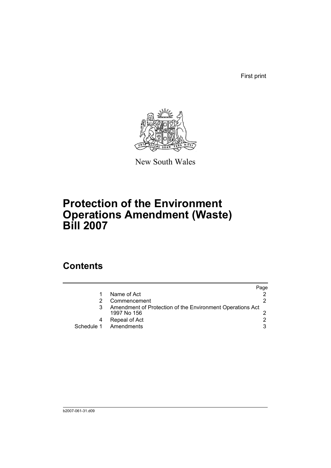First print



New South Wales

# **Protection of the Environment Operations Amendment (Waste) Bill 2007**

### **Contents**

|            |                                                                          | Page |
|------------|--------------------------------------------------------------------------|------|
|            | Name of Act                                                              |      |
|            | Commencement                                                             |      |
|            | Amendment of Protection of the Environment Operations Act<br>1997 No 156 |      |
|            | Repeal of Act                                                            |      |
| Schedule 1 | Amendments                                                               | 3    |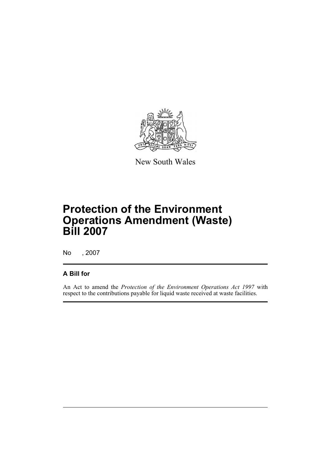

New South Wales

# **Protection of the Environment Operations Amendment (Waste) Bill 2007**

No , 2007

#### **A Bill for**

An Act to amend the *Protection of the Environment Operations Act 1997* with respect to the contributions payable for liquid waste received at waste facilities.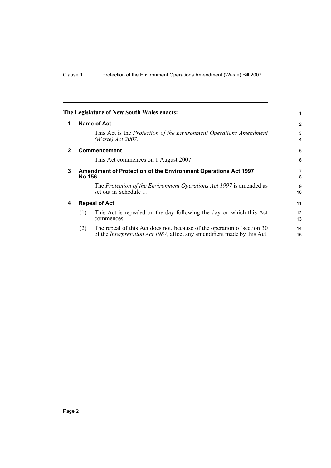<span id="page-5-3"></span><span id="page-5-2"></span><span id="page-5-1"></span><span id="page-5-0"></span>

|              |                                                                                        | The Legislature of New South Wales enacts:                                                                                                                | 1              |  |  |
|--------------|----------------------------------------------------------------------------------------|-----------------------------------------------------------------------------------------------------------------------------------------------------------|----------------|--|--|
| 1            |                                                                                        | Name of Act                                                                                                                                               | $\overline{2}$ |  |  |
|              |                                                                                        | This Act is the Protection of the Environment Operations Amendment<br>(Waste) Act 2007.                                                                   | 3<br>4         |  |  |
| $\mathbf{2}$ |                                                                                        | <b>Commencement</b>                                                                                                                                       | 5              |  |  |
|              |                                                                                        | This Act commences on 1 August 2007.                                                                                                                      | 6              |  |  |
| 3            | <b>Amendment of Protection of the Environment Operations Act 1997</b><br><b>No 156</b> |                                                                                                                                                           |                |  |  |
|              |                                                                                        | The Protection of the Environment Operations Act 1997 is amended as<br>set out in Schedule 1.                                                             | 9<br>10        |  |  |
| 4            | <b>Repeal of Act</b>                                                                   |                                                                                                                                                           | 11             |  |  |
|              | (1)                                                                                    | This Act is repealed on the day following the day on which this Act<br>commences.                                                                         | 12<br>13       |  |  |
|              | (2)                                                                                    | The repeal of this Act does not, because of the operation of section 30<br>of the <i>Interpretation Act 1987</i> , affect any amendment made by this Act. | 14<br>15       |  |  |